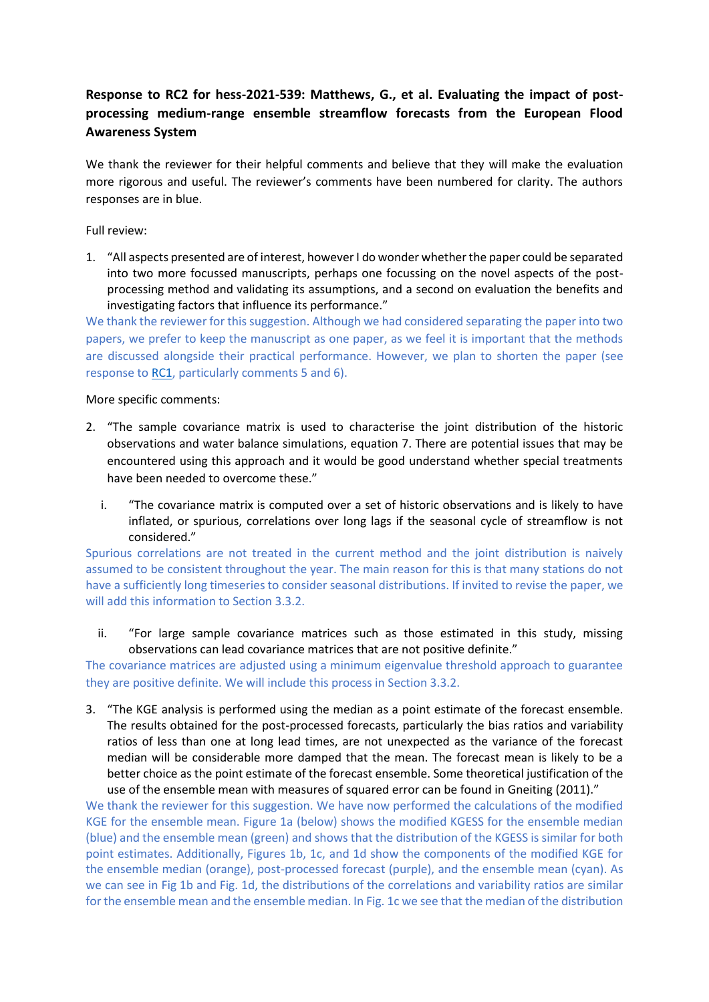## **Response to RC2 for hess-2021-539: Matthews, G., et al. Evaluating the impact of postprocessing medium-range ensemble streamflow forecasts from the European Flood Awareness System**

We thank the reviewer for their helpful comments and believe that they will make the evaluation more rigorous and useful. The reviewer's comments have been numbered for clarity. The authors responses are in blue.

## Full review:

1. "All aspects presented are of interest, however I do wonder whether the paper could be separated into two more focussed manuscripts, perhaps one focussing on the novel aspects of the postprocessing method and validating its assumptions, and a second on evaluation the benefits and investigating factors that influence its performance."

We thank the reviewer for this suggestion. Although we had considered separating the paper into two papers, we prefer to keep the manuscript as one paper, as we feel it is important that the methods are discussed alongside their practical performance. However, we plan to shorten the paper (see response to [RC1,](https://doi.org/10.5194/hess-2021-539-AC1) particularly comments 5 and 6).

## More specific comments:

- 2. "The sample covariance matrix is used to characterise the joint distribution of the historic observations and water balance simulations, equation 7. There are potential issues that may be encountered using this approach and it would be good understand whether special treatments have been needed to overcome these."
	- i. "The covariance matrix is computed over a set of historic observations and is likely to have inflated, or spurious, correlations over long lags if the seasonal cycle of streamflow is not considered."

Spurious correlations are not treated in the current method and the joint distribution is naively assumed to be consistent throughout the year. The main reason for this is that many stations do not have a sufficiently long timeseries to consider seasonal distributions. If invited to revise the paper, we will add this information to Section 3.3.2.

ii. "For large sample covariance matrices such as those estimated in this study, missing observations can lead covariance matrices that are not positive definite."

The covariance matrices are adjusted using a minimum eigenvalue threshold approach to guarantee they are positive definite. We will include this process in Section 3.3.2.

3. "The KGE analysis is performed using the median as a point estimate of the forecast ensemble. The results obtained for the post-processed forecasts, particularly the bias ratios and variability ratios of less than one at long lead times, are not unexpected as the variance of the forecast median will be considerable more damped that the mean. The forecast mean is likely to be a better choice as the point estimate of the forecast ensemble. Some theoretical justification of the use of the ensemble mean with measures of squared error can be found in Gneiting (2011)."

We thank the reviewer for this suggestion. We have now performed the calculations of the modified KGE for the ensemble mean. Figure 1a (below) shows the modified KGESS for the ensemble median (blue) and the ensemble mean (green) and shows that the distribution of the KGESS is similar for both point estimates. Additionally, Figures 1b, 1c, and 1d show the components of the modified KGE for the ensemble median (orange), post-processed forecast (purple), and the ensemble mean (cyan). As we can see in Fig 1b and Fig. 1d, the distributions of the correlations and variability ratios are similar for the ensemble mean and the ensemble median. In Fig. 1c we see that the median of the distribution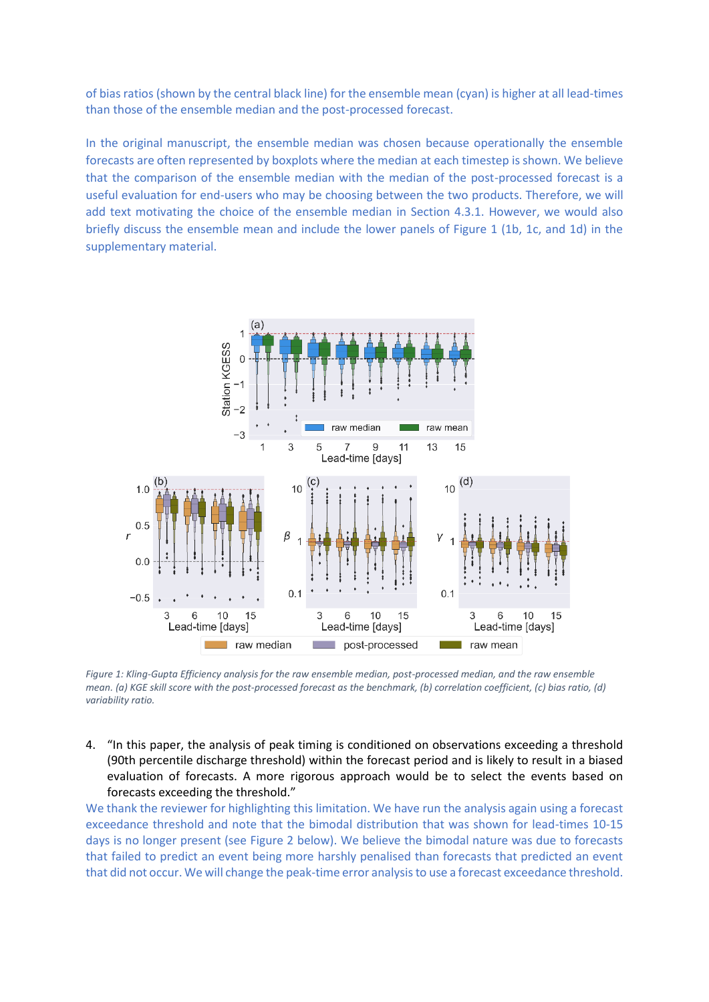of bias ratios (shown by the central black line) for the ensemble mean (cyan) is higher at all lead-times than those of the ensemble median and the post-processed forecast.

In the original manuscript, the ensemble median was chosen because operationally the ensemble forecasts are often represented by boxplots where the median at each timestep is shown. We believe that the comparison of the ensemble median with the median of the post-processed forecast is a useful evaluation for end-users who may be choosing between the two products. Therefore, we will add text motivating the choice of the ensemble median in Section 4.3.1. However, we would also briefly discuss the ensemble mean and include the lower panels of Figure 1 (1b, 1c, and 1d) in the supplementary material.



*Figure 1: Kling-Gupta Efficiency analysis for the raw ensemble median, post-processed median, and the raw ensemble mean. (a) KGE skill score with the post-processed forecast as the benchmark, (b) correlation coefficient, (c) bias ratio, (d) variability ratio.*

4. "In this paper, the analysis of peak timing is conditioned on observations exceeding a threshold (90th percentile discharge threshold) within the forecast period and is likely to result in a biased evaluation of forecasts. A more rigorous approach would be to select the events based on forecasts exceeding the threshold."

We thank the reviewer for highlighting this limitation. We have run the analysis again using a forecast exceedance threshold and note that the bimodal distribution that was shown for lead-times 10-15 days is no longer present (see Figure 2 below). We believe the bimodal nature was due to forecasts that failed to predict an event being more harshly penalised than forecasts that predicted an event that did not occur. We will change the peak-time error analysis to use a forecast exceedance threshold.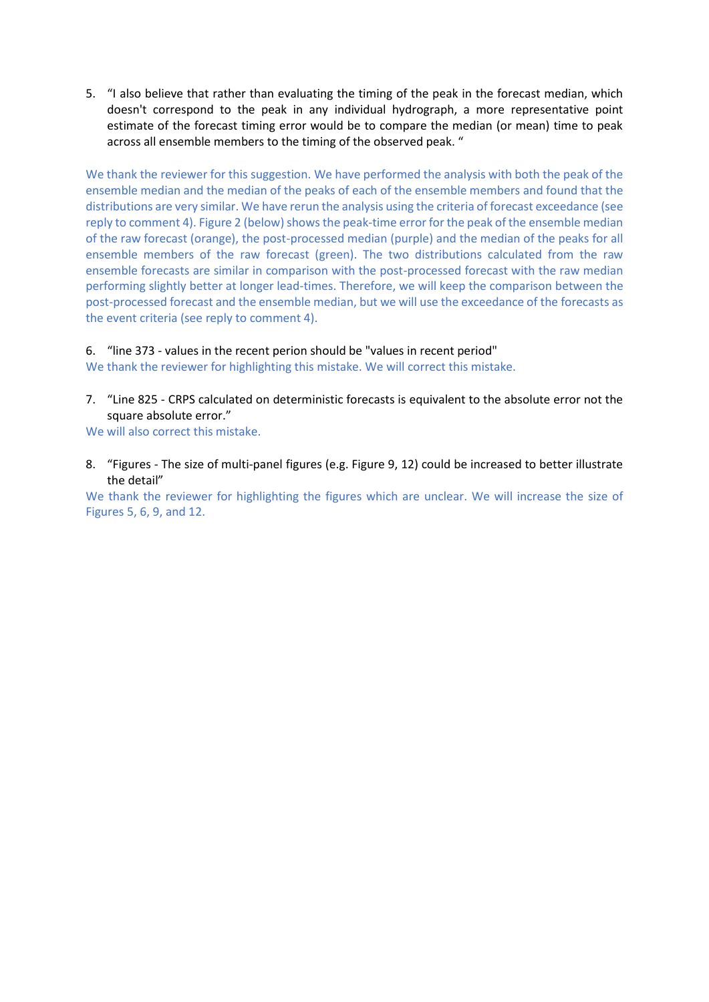5. "I also believe that rather than evaluating the timing of the peak in the forecast median, which doesn't correspond to the peak in any individual hydrograph, a more representative point estimate of the forecast timing error would be to compare the median (or mean) time to peak across all ensemble members to the timing of the observed peak. "

We thank the reviewer for this suggestion. We have performed the analysis with both the peak of the ensemble median and the median of the peaks of each of the ensemble members and found that the distributions are very similar. We have rerun the analysis using the criteria of forecast exceedance (see reply to comment 4). Figure 2 (below) shows the peak-time error for the peak of the ensemble median of the raw forecast (orange), the post-processed median (purple) and the median of the peaks for all ensemble members of the raw forecast (green). The two distributions calculated from the raw ensemble forecasts are similar in comparison with the post-processed forecast with the raw median performing slightly better at longer lead-times. Therefore, we will keep the comparison between the post-processed forecast and the ensemble median, but we will use the exceedance of the forecasts as the event criteria (see reply to comment 4).

## 6. "line 373 - values in the recent perion should be "values in recent period"

We thank the reviewer for highlighting this mistake. We will correct this mistake.

7. "Line 825 - CRPS calculated on deterministic forecasts is equivalent to the absolute error not the square absolute error."

We will also correct this mistake.

8. "Figures - The size of multi-panel figures (e.g. Figure 9, 12) could be increased to better illustrate the detail"

We thank the reviewer for highlighting the figures which are unclear. We will increase the size of Figures 5, 6, 9, and 12.